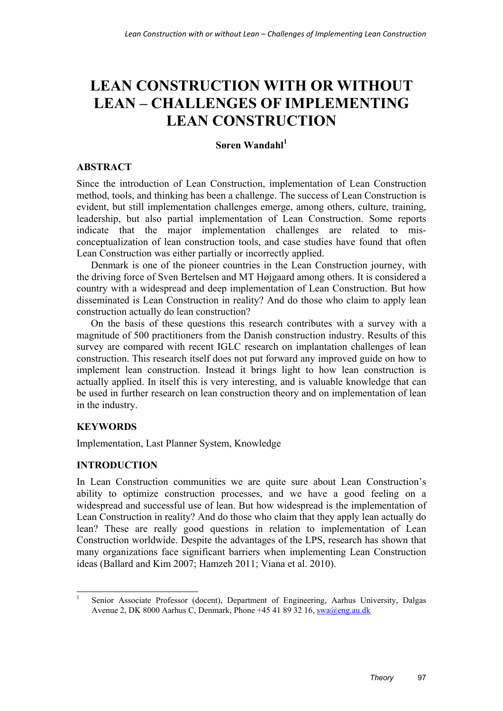# **LEAN CONSTRUCTION WITH OR WITHOUT LEAN – CHALLENGES OF IMPLEMENTING LEAN CONSTRUCTION**

# **Søren Wandahl<sup>1</sup>**

# **ABSTRACT**

Since the introduction of Lean Construction, implementation of Lean Construction method, tools, and thinking has been a challenge. The success of Lean Construction is evident, but still implementation challenges emerge, among others, culture, training, leadership, but also partial implementation of Lean Construction. Some reports indicate that the major implementation challenges are related to misconceptualization of lean construction tools, and case studies have found that often Lean Construction was either partially or incorrectly applied.

Denmark is one of the pioneer countries in the Lean Construction journey, with the driving force of Sven Bertelsen and MT Højgaard among others. It is considered a country with a widespread and deep implementation of Lean Construction. But how disseminated is Lean Construction in reality? And do those who claim to apply lean construction actually do lean construction?

On the basis of these questions this research contributes with a survey with a magnitude of 500 practitioners from the Danish construction industry. Results of this survey are compared with recent IGLC research on implantation challenges of lean construction. This research itself does not put forward any improved guide on how to implement lean construction. Instead it brings light to how lean construction is actually applied. In itself this is very interesting, and is valuable knowledge that can be used in further research on lean construction theory and on implementation of lean in the industry.

# **KEYWORDS**

Implementation, Last Planner System, Knowledge

## **INTRODUCTION**

In Lean Construction communities we are quite sure about Lean Construction's ability to optimize construction processes, and we have a good feeling on a widespread and successful use of lean. But how widespread is the implementation of Lean Construction in reality? And do those who claim that they apply lean actually do lean? These are really good questions in relation to implementation of Lean Construction worldwide. Despite the advantages of the LPS, research has shown that many organizations face significant barriers when implementing Lean Construction ideas (Ballard and Kim 2007; Hamzeh 2011; Viana et al. 2010).

 $\frac{1}{1}$  Senior Associate Professor (docent), Department of Engineering, Aarhus University, Dalgas Avenue 2, DK 8000 Aarhus C, Denmark, Phone +45 41 89 32 16, swa@eng.au.dk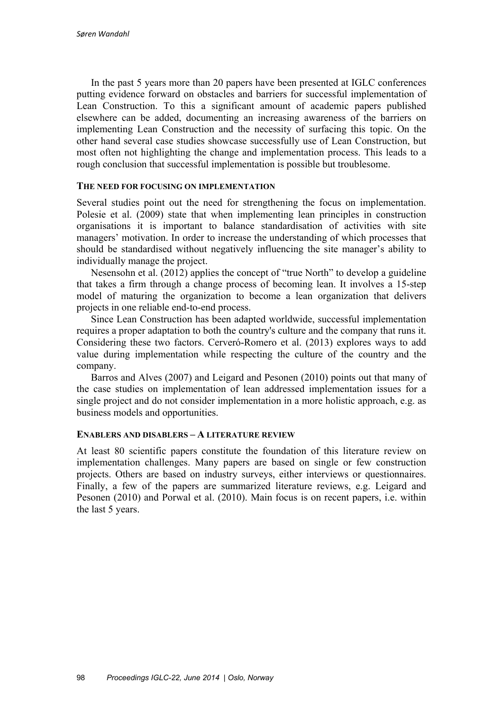In the past 5 years more than 20 papers have been presented at IGLC conferences putting evidence forward on obstacles and barriers for successful implementation of Lean Construction. To this a significant amount of academic papers published elsewhere can be added, documenting an increasing awareness of the barriers on implementing Lean Construction and the necessity of surfacing this topic. On the other hand several case studies showcase successfully use of Lean Construction, but most often not highlighting the change and implementation process. This leads to a rough conclusion that successful implementation is possible but troublesome.

#### **THE NEED FOR FOCUSING ON IMPLEMENTATION**

Several studies point out the need for strengthening the focus on implementation. Polesie et al. (2009) state that when implementing lean principles in construction organisations it is important to balance standardisation of activities with site managers' motivation. In order to increase the understanding of which processes that should be standardised without negatively influencing the site manager's ability to individually manage the project.

Nesensohn et al. (2012) applies the concept of "true North" to develop a guideline that takes a firm through a change process of becoming lean. It involves a 15-step model of maturing the organization to become a lean organization that delivers projects in one reliable end-to-end process.

Since Lean Construction has been adapted worldwide, successful implementation requires a proper adaptation to both the country's culture and the company that runs it. Considering these two factors. Cerveró-Romero et al. (2013) explores ways to add value during implementation while respecting the culture of the country and the company.

Barros and Alves (2007) and Leigard and Pesonen (2010) points out that many of the case studies on implementation of lean addressed implementation issues for a single project and do not consider implementation in a more holistic approach, e.g. as business models and opportunities.

## **ENABLERS AND DISABLERS – A LITERATURE REVIEW**

At least 80 scientific papers constitute the foundation of this literature review on implementation challenges. Many papers are based on single or few construction projects. Others are based on industry surveys, either interviews or questionnaires. Finally, a few of the papers are summarized literature reviews, e.g. Leigard and Pesonen (2010) and Porwal et al. (2010). Main focus is on recent papers, i.e. within the last 5 years.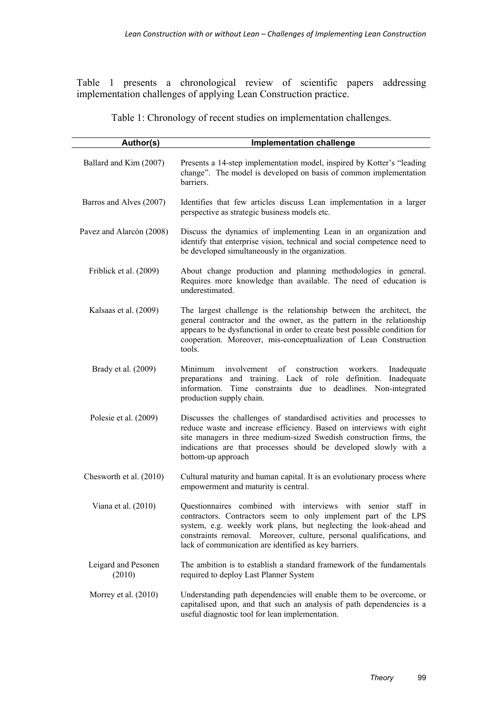Table 1 presents a chronological review of scientific papers addressing implementation challenges of applying Lean Construction practice.

Table 1: Chronology of recent studies on implementation challenges.

| Author(s)                     | <b>Implementation challenge</b>                                                                                                                                                                                                                                                                                                       |
|-------------------------------|---------------------------------------------------------------------------------------------------------------------------------------------------------------------------------------------------------------------------------------------------------------------------------------------------------------------------------------|
| Ballard and Kim (2007)        | Presents a 14-step implementation model, inspired by Kotter's "leading<br>change". The model is developed on basis of common implementation<br>barriers.                                                                                                                                                                              |
| Barros and Alves (2007)       | Identifies that few articles discuss Lean implementation in a larger<br>perspective as strategic business models etc.                                                                                                                                                                                                                 |
| Pavez and Alarcón (2008)      | Discuss the dynamics of implementing Lean in an organization and<br>identify that enterprise vision, technical and social competence need to<br>be developed simultaneously in the organization.                                                                                                                                      |
| Friblick et al. (2009)        | About change production and planning methodologies in general.<br>Requires more knowledge than available. The need of education is<br>underestimated.                                                                                                                                                                                 |
| Kalsaas et al. (2009)         | The largest challenge is the relationship between the architect, the<br>general contractor and the owner, as the pattern in the relationship<br>appears to be dysfunctional in order to create best possible condition for<br>cooperation. Moreover, mis-conceptualization of Lean Construction<br>tools.                             |
| Brady et al. (2009)           | involvement<br>of<br>construction<br>Minimum<br>workers.<br>Inadequate<br>preparations and training. Lack of role definition.<br>Inadequate<br>information.<br>Time constraints due to deadlines. Non-integrated<br>production supply chain.                                                                                          |
| Polesie et al. (2009)         | Discusses the challenges of standardised activities and processes to<br>reduce waste and increase efficiency. Based on interviews with eight<br>site managers in three medium-sized Swedish construction firms, the<br>indications are that processes should be developed slowly with a<br>bottom-up approach                         |
| Chesworth et al. (2010)       | Cultural maturity and human capital. It is an evolutionary process where<br>empowerment and maturity is central.                                                                                                                                                                                                                      |
| Viana et al. (2010)           | Questionnaires combined with interviews with senior staff in<br>contractors. Contractors seem to only implement part of the LPS<br>system, e.g. weekly work plans, but neglecting the look-ahead and<br>constraints removal. Moreover, culture, personal qualifications, and<br>lack of communication are identified as key barriers. |
| Leigard and Pesonen<br>(2010) | The ambition is to establish a standard framework of the fundamentals<br>required to deploy Last Planner System                                                                                                                                                                                                                       |
| Morrey et al. $(2010)$        | Understanding path dependencies will enable them to be overcome, or<br>capitalised upon, and that such an analysis of path dependencies is a<br>useful diagnostic tool for lean implementation.                                                                                                                                       |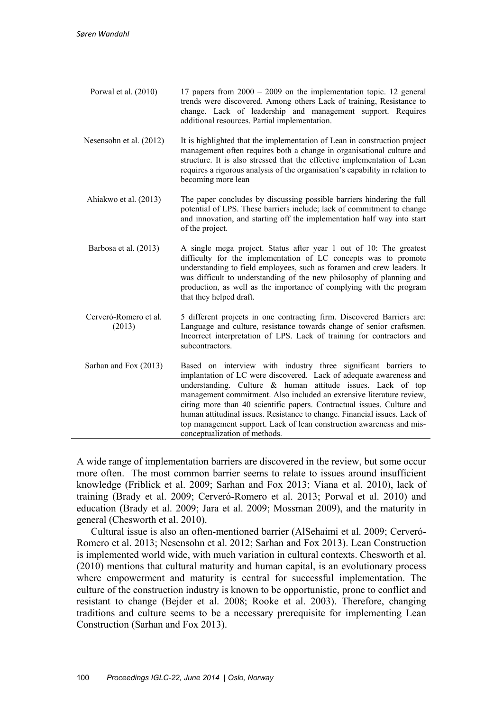- Porwal et al. (2010) 17 papers from 2000 2009 on the implementation topic. 12 general trends were discovered. Among others Lack of training, Resistance to change. Lack of leadership and management support. Requires additional resources. Partial implementation.
- Nesensohn et al. (2012) It is highlighted that the implementation of Lean in construction project management often requires both a change in organisational culture and structure. It is also stressed that the effective implementation of Lean requires a rigorous analysis of the organisation's capability in relation to becoming more lean
- Ahiakwo et al. (2013) The paper concludes by discussing possible barriers hindering the full potential of LPS. These barriers include; lack of commitment to change and innovation, and starting off the implementation half way into start of the project.
- Barbosa et al. (2013) A single mega project. Status after year 1 out of 10: The greatest difficulty for the implementation of LC concepts was to promote understanding to field employees, such as foramen and crew leaders. It was difficult to understanding of the new philosophy of planning and production, as well as the importance of complying with the program that they helped draft.
- Cerveró-Romero et al. (2013) 5 different projects in one contracting firm. Discovered Barriers are: Language and culture, resistance towards change of senior craftsmen. Incorrect interpretation of LPS. Lack of training for contractors and subcontractors.
- Sarhan and Fox (2013) Based on interview with industry three significant barriers to implantation of LC were discovered. Lack of adequate awareness and understanding. Culture & human attitude issues. Lack of top management commitment. Also included an extensive literature review, citing more than 40 scientific papers. Contractual issues. Culture and human attitudinal issues. Resistance to change. Financial issues. Lack of top management support. Lack of lean construction awareness and misconceptualization of methods.

A wide range of implementation barriers are discovered in the review, but some occur more often. The most common barrier seems to relate to issues around insufficient knowledge (Friblick et al. 2009; Sarhan and Fox 2013; Viana et al. 2010), lack of training (Brady et al. 2009; Cerveró-Romero et al. 2013; Porwal et al. 2010) and education (Brady et al. 2009; Jara et al. 2009; Mossman 2009), and the maturity in general (Chesworth et al. 2010).

Cultural issue is also an often-mentioned barrier (AlSehaimi et al. 2009; Cerveró-Romero et al. 2013; Nesensohn et al. 2012; Sarhan and Fox 2013). Lean Construction is implemented world wide, with much variation in cultural contexts. Chesworth et al. (2010) mentions that cultural maturity and human capital, is an evolutionary process where empowerment and maturity is central for successful implementation. The culture of the construction industry is known to be opportunistic, prone to conflict and resistant to change (Bejder et al. 2008; Rooke et al. 2003). Therefore, changing traditions and culture seems to be a necessary prerequisite for implementing Lean Construction (Sarhan and Fox 2013).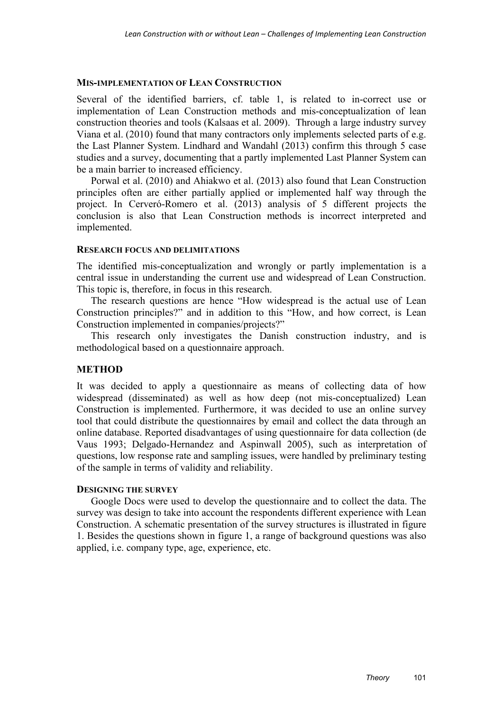#### **MIS-IMPLEMENTATION OF LEAN CONSTRUCTION**

Several of the identified barriers, cf. table 1, is related to in-correct use or implementation of Lean Construction methods and mis-conceptualization of lean construction theories and tools (Kalsaas et al. 2009). Through a large industry survey Viana et al. (2010) found that many contractors only implements selected parts of e.g. the Last Planner System. Lindhard and Wandahl (2013) confirm this through 5 case studies and a survey, documenting that a partly implemented Last Planner System can be a main barrier to increased efficiency.

Porwal et al. (2010) and Ahiakwo et al. (2013) also found that Lean Construction principles often are either partially applied or implemented half way through the project. In Cerveró-Romero et al. (2013) analysis of 5 different projects the conclusion is also that Lean Construction methods is incorrect interpreted and implemented.

#### **RESEARCH FOCUS AND DELIMITATIONS**

The identified mis-conceptualization and wrongly or partly implementation is a central issue in understanding the current use and widespread of Lean Construction. This topic is, therefore, in focus in this research.

The research questions are hence "How widespread is the actual use of Lean Construction principles?" and in addition to this "How, and how correct, is Lean Construction implemented in companies/projects?"

This research only investigates the Danish construction industry, and is methodological based on a questionnaire approach.

## **METHOD**

It was decided to apply a questionnaire as means of collecting data of how widespread (disseminated) as well as how deep (not mis-conceptualized) Lean Construction is implemented. Furthermore, it was decided to use an online survey tool that could distribute the questionnaires by email and collect the data through an online database. Reported disadvantages of using questionnaire for data collection (de Vaus 1993; Delgado-Hernandez and Aspinwall 2005), such as interpretation of questions, low response rate and sampling issues, were handled by preliminary testing of the sample in terms of validity and reliability.

## **DESIGNING THE SURVEY**

Google Docs were used to develop the questionnaire and to collect the data. The survey was design to take into account the respondents different experience with Lean Construction. A schematic presentation of the survey structures is illustrated in figure 1. Besides the questions shown in figure 1, a range of background questions was also applied, i.e. company type, age, experience, etc.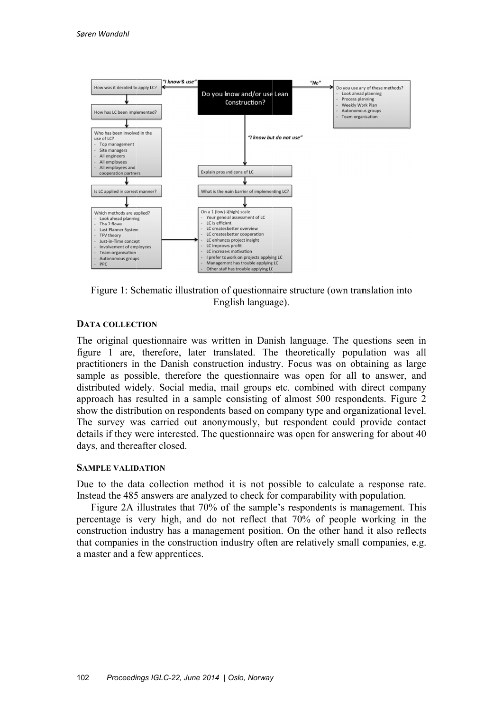

Figure 1: Schematic illustration of questionnaire structure (own translation into English language).

#### **DATA COLLECTION**

The original questionnaire was written in Danish language. The questions seen in figure 1 are, therefore, later translated. The theoretically population was all practitioners in the Danish construction industry. Focus was on obtaining as large sample as possible, therefore the questionnaire was open for all to answer, and distributed widely. Social media, mail groups etc. combined with direct company approach has resulted in a sample consisting of almost 500 respondents. Figure 2 show the distribution on respondents based on company type and organizational level. The survey was carried out anonymously, but respondent could provide contact details if they were interested. The questionnaire was open for answering for about 40 days, and thereafter closed.

#### **SAMPLE VALIDATION**

Due to the data collection method it is not possible to calculate a response rate. Instead the 485 answers are analyzed to check for comparability with population.

Figure 2A illustrates that 70% of the sample's respondents is management. This percentage is very high, and do not reflect that 70% of people working in the construction industry has a management position. On the other hand it also reflects that companies in the construction industry often are relatively small companies, e.g. a master and a few apprentices.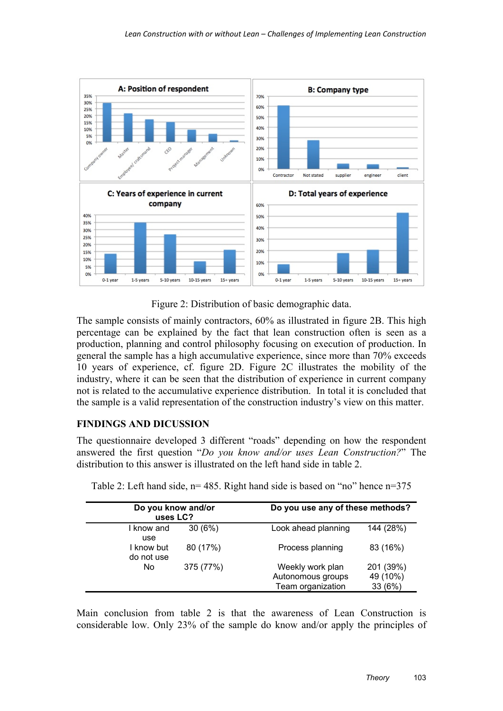

Figure 2: Distribution of basic demographic data.

The sample consists of mainly contractors, 60% as illustrated in figure 2B. This high percentage can be explained by the fact that lean construction often is seen as a production, planning and control philosophy focusing on execution of production. In general the sample has a high accumulative experience, since more than 70% exceeds 10 years of experience, cf. figure 2D. Figure 2C illustrates the mobility of the industry, where it can be seen that the distribution of experience in current company not is related to the accumulative experience distribution. In total it is concluded that the sample is a valid representation of the construction industry's view on this matter.

## **FINDINGS AND DICUSSION**

The questionnaire developed 3 different "roads" depending on how the respondent answered the first question "*Do you know and/or uses Lean Construction?*" The distribution to this answer is illustrated on the left hand side in table 2.

| Do you know and/or<br>uses LC? |           |                                                            | Do you use any of these methods? |  |
|--------------------------------|-----------|------------------------------------------------------------|----------------------------------|--|
| I know and<br>use              | 30(6%)    | Look ahead planning                                        | 144 (28%)                        |  |
| I know but<br>do not use       | 80 (17%)  | Process planning                                           | 83 (16%)                         |  |
| No                             | 375 (77%) | Weekly work plan<br>Autonomous groups<br>Team organization | 201 (39%)<br>49 (10%)<br>33 (6%) |  |

Table 2: Left hand side, n= 485. Right hand side is based on "no" hence n=375

Main conclusion from table 2 is that the awareness of Lean Construction is considerable low. Only 23% of the sample do know and/or apply the principles of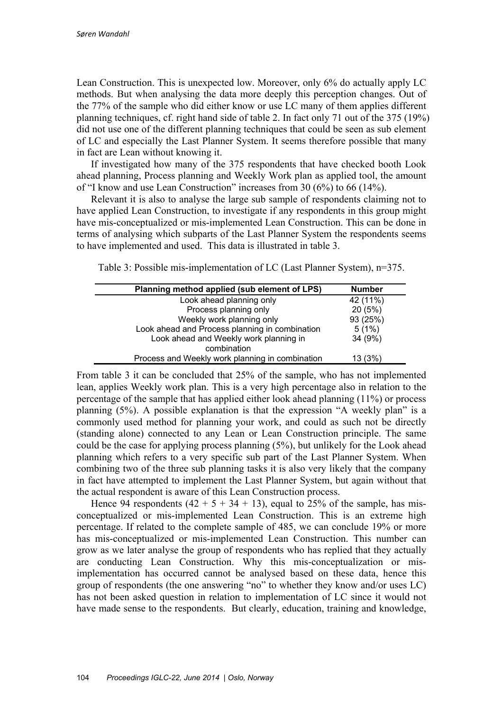Lean Construction. This is unexpected low. Moreover, only 6% do actually apply LC methods. But when analysing the data more deeply this perception changes. Out of the 77% of the sample who did either know or use LC many of them applies different planning techniques, cf. right hand side of table 2. In fact only 71 out of the 375 (19%) did not use one of the different planning techniques that could be seen as sub element of LC and especially the Last Planner System. It seems therefore possible that many in fact are Lean without knowing it.

If investigated how many of the 375 respondents that have checked booth Look ahead planning, Process planning and Weekly Work plan as applied tool, the amount of "I know and use Lean Construction" increases from 30 (6%) to 66 (14%).

Relevant it is also to analyse the large sub sample of respondents claiming not to have applied Lean Construction, to investigate if any respondents in this group might have mis-conceptualized or mis-implemented Lean Construction. This can be done in terms of analysing which subparts of the Last Planner System the respondents seems to have implemented and used. This data is illustrated in table 3.

| Table 3: Possible mis-implementation of LC (Last Planner System), n=375. |  |  |  |  |
|--------------------------------------------------------------------------|--|--|--|--|
|                                                                          |  |  |  |  |

| Planning method applied (sub element of LPS)    | <b>Number</b> |
|-------------------------------------------------|---------------|
| Look ahead planning only                        | 42 (11%)      |
| Process planning only                           | 20(5%)        |
| Weekly work planning only                       | 93 (25%)      |
| Look ahead and Process planning in combination  | 5(1%)         |
| Look ahead and Weekly work planning in          | 34 (9%)       |
| combination                                     |               |
| Process and Weekly work planning in combination | 13 (3%)       |

From table 3 it can be concluded that 25% of the sample, who has not implemented lean, applies Weekly work plan. This is a very high percentage also in relation to the percentage of the sample that has applied either look ahead planning (11%) or process planning (5%). A possible explanation is that the expression "A weekly plan" is a commonly used method for planning your work, and could as such not be directly (standing alone) connected to any Lean or Lean Construction principle. The same could be the case for applying process planning (5%), but unlikely for the Look ahead planning which refers to a very specific sub part of the Last Planner System. When combining two of the three sub planning tasks it is also very likely that the company in fact have attempted to implement the Last Planner System, but again without that the actual respondent is aware of this Lean Construction process.

Hence 94 respondents  $(42 + 5 + 34 + 13)$ , equal to 25% of the sample, has misconceptualized or mis-implemented Lean Construction. This is an extreme high percentage. If related to the complete sample of 485, we can conclude 19% or more has mis-conceptualized or mis-implemented Lean Construction. This number can grow as we later analyse the group of respondents who has replied that they actually are conducting Lean Construction. Why this mis-conceptualization or misimplementation has occurred cannot be analysed based on these data, hence this group of respondents (the one answering "no" to whether they know and/or uses LC) has not been asked question in relation to implementation of LC since it would not have made sense to the respondents. But clearly, education, training and knowledge,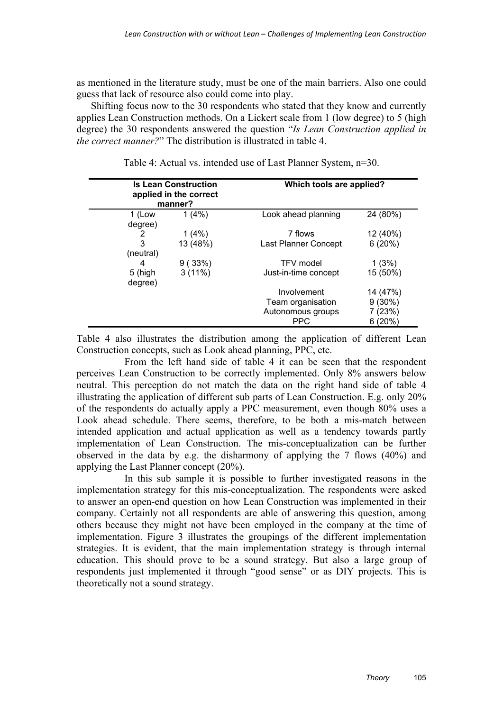as mentioned in the literature study, must be one of the main barriers. Also one could guess that lack of resource also could come into play.

Shifting focus now to the 30 respondents who stated that they know and currently applies Lean Construction methods. On a Lickert scale from 1 (low degree) to 5 (high degree) the 30 respondents answered the question "*Is Lean Construction applied in the correct manner?*" The distribution is illustrated in table 4.

|           | <b>Is Lean Construction</b><br>applied in the correct<br>manner? | Which tools are applied? |           |
|-----------|------------------------------------------------------------------|--------------------------|-----------|
| 1 (Low    | 1(4%)                                                            | Look ahead planning      | 24 (80%)  |
| degree)   |                                                                  |                          |           |
| 2         | 1(4%)                                                            | 7 flows                  | 12 (40%)  |
| 3         | 13 (48%)                                                         | Last Planner Concept     | 6(20%)    |
| (neutral) |                                                                  |                          |           |
| 4         | 9(33%)                                                           | <b>TFV</b> model         | 1(3%)     |
| 5 (high   | 3(11%)                                                           | Just-in-time concept     | 15 (50%)  |
| degree)   |                                                                  |                          |           |
|           |                                                                  | Involvement              | 14 (47%)  |
|           |                                                                  | Team organisation        | $9(30\%)$ |
|           |                                                                  | Autonomous groups        | 7 (23%)   |
|           |                                                                  | <b>PPC</b>               | 6(20%)    |
|           |                                                                  |                          |           |

Table 4: Actual vs. intended use of Last Planner System, n=30.

Table 4 also illustrates the distribution among the application of different Lean Construction concepts, such as Look ahead planning, PPC, etc.

 From the left hand side of table 4 it can be seen that the respondent perceives Lean Construction to be correctly implemented. Only 8% answers below neutral. This perception do not match the data on the right hand side of table 4 illustrating the application of different sub parts of Lean Construction. E.g. only 20% of the respondents do actually apply a PPC measurement, even though 80% uses a Look ahead schedule. There seems, therefore, to be both a mis-match between intended application and actual application as well as a tendency towards partly implementation of Lean Construction. The mis-conceptualization can be further observed in the data by e.g. the disharmony of applying the 7 flows (40%) and applying the Last Planner concept (20%).

 In this sub sample it is possible to further investigated reasons in the implementation strategy for this mis-conceptualization. The respondents were asked to answer an open-end question on how Lean Construction was implemented in their company. Certainly not all respondents are able of answering this question, among others because they might not have been employed in the company at the time of implementation. Figure 3 illustrates the groupings of the different implementation strategies. It is evident, that the main implementation strategy is through internal education. This should prove to be a sound strategy. But also a large group of respondents just implemented it through "good sense" or as DIY projects. This is theoretically not a sound strategy.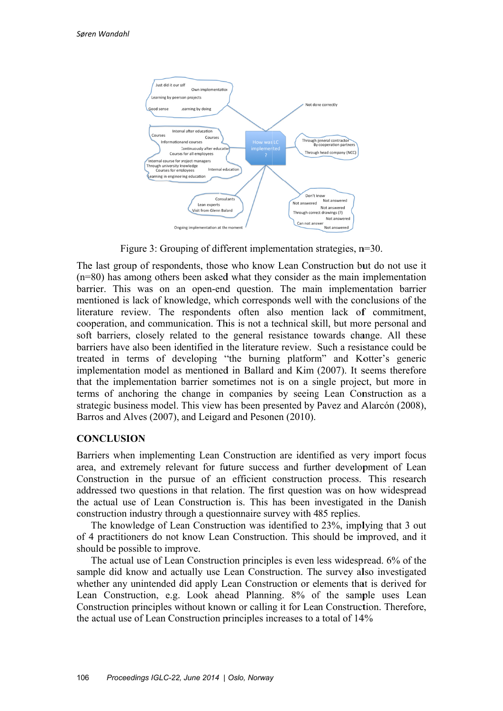

Figure 3: Grouping of different implementation strategies,  $n=30$ .

The last group of respondents, those who know Lean Construction but do not use it  $(n=80)$  has among others been asked what they consider as the main implementation barrier. This was on an open-end question. The main implementation barrier mentioned is lack of knowledge, which corresponds well with the conclusions of the literature review. The respondents often also mention lack of commitment, cooperation, and communication. This is not a technical skill, but more personal and soft barriers, closely related to the general resistance towards change. All these barriers have also been identified in the literature review. Such a resistance could be treated in terms of developing "the burning platform" and Kotter's generic implementation model as mentioned in Ballard and Kim (2007). It seems therefore that the implementation barrier sometimes not is on a single project, but more in terms of anchoring the change in companies by seeing Lean Construction as a strategic business model. This view has been presented by Payez and Alarcón (2008). Barros and Alves (2007), and Leigard and Pesonen (2010).

## **CONCLUSION**

Barriers when implementing Lean Construction are identified as very import focus area, and extremely relevant for future success and further development of Lean Construction in the pursue of an efficient construction process. This research addressed two questions in that relation. The first question was on how widespread the actual use of Lean Construction is. This has been investigated in the Danish construction industry through a question aire survey with 485 replies.

The knowledge of Lean Construction was identified to 23%, implying that 3 out of 4 practitioners do not know Lean Construction. This should be improved, and it should be possible to improve.

The actual use of Lean Construction principles is even less widespread, 6% of the sample did know and actually use Lean Construction. The survey also investigated whether any unintended did apply Lean Construction or elements that is derived for Lean Construction, e.g. Look ahead Planning. 8% of the sample uses Lean Construction principles without known or calling it for Lean Construction. Therefore, the actual use of Lean Construction principles increases to a total of 14%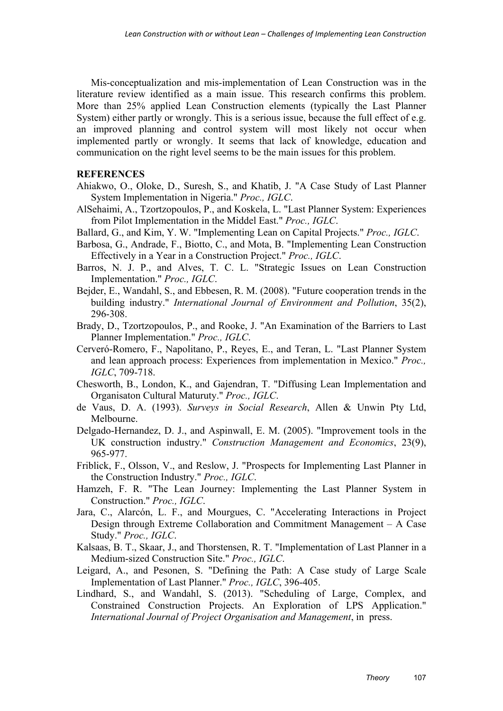Mis-conceptualization and mis-implementation of Lean Construction was in the literature review identified as a main issue. This research confirms this problem. More than 25% applied Lean Construction elements (typically the Last Planner System) either partly or wrongly. This is a serious issue, because the full effect of e.g. an improved planning and control system will most likely not occur when implemented partly or wrongly. It seems that lack of knowledge, education and communication on the right level seems to be the main issues for this problem.

#### **REFERENCES**

- Ahiakwo, O., Oloke, D., Suresh, S., and Khatib, J. "A Case Study of Last Planner System Implementation in Nigeria." *Proc., IGLC*.
- AlSehaimi, A., Tzortzopoulos, P., and Koskela, L. "Last Planner System: Experiences from Pilot Implementation in the Middel East." *Proc., IGLC*.
- Ballard, G., and Kim, Y. W. "Implementing Lean on Capital Projects." *Proc., IGLC*.
- Barbosa, G., Andrade, F., Biotto, C., and Mota, B. "Implementing Lean Construction Effectively in a Year in a Construction Project." *Proc., IGLC*.
- Barros, N. J. P., and Alves, T. C. L. "Strategic Issues on Lean Construction Implementation." *Proc., IGLC*.
- Bejder, E., Wandahl, S., and Ebbesen, R. M. (2008). "Future cooperation trends in the building industry." *International Journal of Environment and Pollution*, 35(2), 296-308.
- Brady, D., Tzortzopoulos, P., and Rooke, J. "An Examination of the Barriers to Last Planner Implementation." *Proc., IGLC*.
- Cerveró-Romero, F., Napolitano, P., Reyes, E., and Teran, L. "Last Planner System and lean approach process: Experiences from implementation in Mexico." *Proc., IGLC*, 709-718.
- Chesworth, B., London, K., and Gajendran, T. "Diffusing Lean Implementation and Organisaton Cultural Maturuty." *Proc., IGLC*.
- de Vaus, D. A. (1993). *Surveys in Social Research*, Allen & Unwin Pty Ltd, Melbourne.
- Delgado-Hernandez, D. J., and Aspinwall, E. M. (2005). "Improvement tools in the UK construction industry." *Construction Management and Economics*, 23(9), 965-977.
- Friblick, F., Olsson, V., and Reslow, J. "Prospects for Implementing Last Planner in the Construction Industry." *Proc., IGLC*.
- Hamzeh, F. R. "The Lean Journey: Implementing the Last Planner System in Construction." *Proc., IGLC*.
- Jara, C., Alarcón, L. F., and Mourgues, C. "Accelerating Interactions in Project Design through Extreme Collaboration and Commitment Management – A Case Study." *Proc., IGLC*.
- Kalsaas, B. T., Skaar, J., and Thorstensen, R. T. "Implementation of Last Planner in a Medium-sized Construction Site." *Proc., IGLC*.
- Leigard, A., and Pesonen, S. "Defining the Path: A Case study of Large Scale Implementation of Last Planner." *Proc., IGLC*, 396-405.
- Lindhard, S., and Wandahl, S. (2013). "Scheduling of Large, Complex, and Constrained Construction Projects. An Exploration of LPS Application." *International Journal of Project Organisation and Management*, in press.